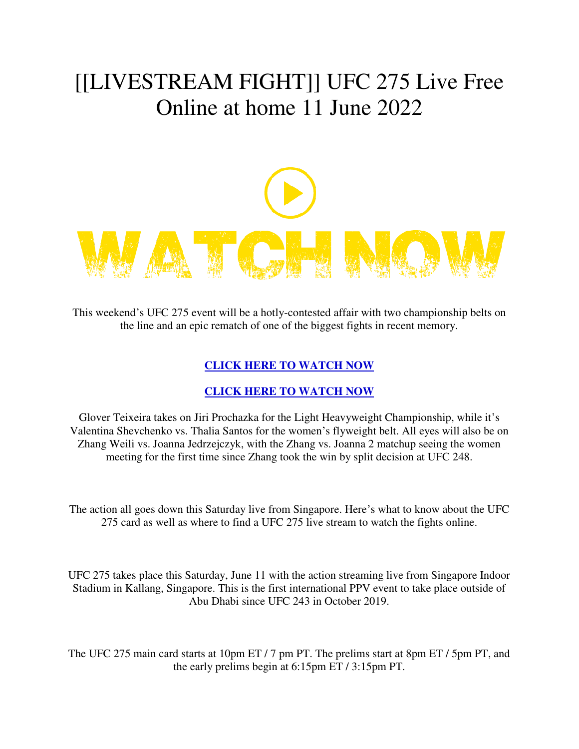## [[LIVESTREAM FIGHT]] UFC 275 Live Free Online at home 11 June 2022



This weekend's UFC 275 event will be a hotly-contested affair with two championship belts on the line and an epic rematch of one of the biggest fights in recent memory.

## **[CLICK HERE TO WATCH NOW](https://bit.ly/3AYIe7r)**

## **[CLICK HERE TO WATCH NOW](https://bit.ly/3AYIe7r)**

Glover Teixeira takes on Jiri Prochazka for the Light Heavyweight Championship, while it's Valentina Shevchenko vs. Thalia Santos for the women's flyweight belt. All eyes will also be on Zhang Weili vs. Joanna Jedrzejczyk, with the Zhang vs. Joanna 2 matchup seeing the women meeting for the first time since Zhang took the win by split decision at UFC 248.

The action all goes down this Saturday live from Singapore. Here's what to know about the UFC 275 card as well as where to find a UFC 275 live stream to watch the fights online.

UFC 275 takes place this Saturday, June 11 with the action streaming live from Singapore Indoor Stadium in Kallang, Singapore. This is the first international PPV event to take place outside of Abu Dhabi since UFC 243 in October 2019.

The UFC 275 main card starts at 10pm ET / 7 pm PT. The prelims start at 8pm ET / 5pm PT, and the early prelims begin at 6:15pm ET / 3:15pm PT.